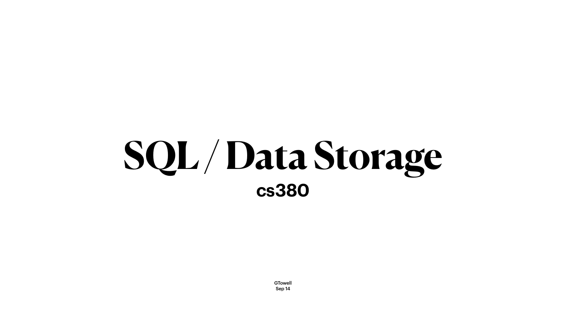# SQL/Data Storage **cs380**

**GTowell** Sep 14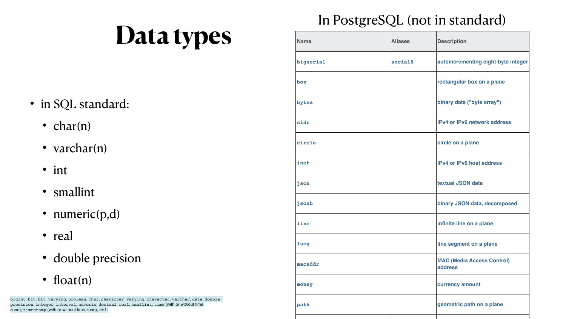## **Data types**

- in SQL standard:
	- char(n)
	- varchar(n)
	- int
	- smallint
	- numeric(p,d)
	- real
	- double precision
	- float(n)

| <b>Name</b> | <b>Aliases</b> | <b>Description</b>                           |  |
|-------------|----------------|----------------------------------------------|--|
| bigserial   | serial8        | autoincrementing eight-byte integer          |  |
| box         |                | rectangular box on a plane                   |  |
| bytea       |                | binary data ("byte array")                   |  |
| cidr        |                | <b>IPv4 or IPv6 network address</b>          |  |
| circle      |                | circle on a plane                            |  |
| inet        |                | <b>IPv4 or IPv6 host address</b>             |  |
| json        |                | <b>textual JSON data</b>                     |  |
| jsonb       |                | <b>binary JSON data, decomposed</b>          |  |
| line        |                | infinite line on a plane                     |  |
| <b>lseg</b> |                | line segment on a plane                      |  |
| macaddr     |                | <b>MAC (Media Access Control)</b><br>address |  |
| money       |                | <b>currency amount</b>                       |  |
| path        |                | geometric path on a plane                    |  |

### In PostgreSQL (not in standard)

bigint, bit, bit varying, boolean, char, character varying, character, varchar, date, double precision, integer, interval, numeric, decimal, real, smallint, time (with or without time zone), timestamp (with or without time zone), xml.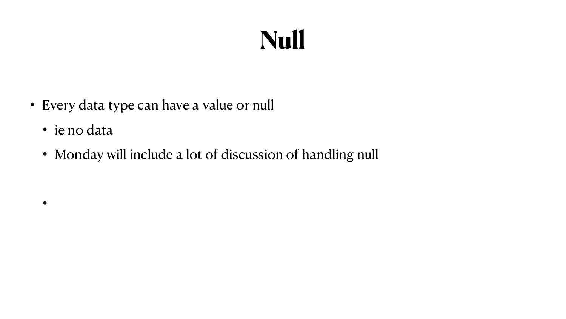

- Every data type can have a value or null
	- ie no data

 $\bullet$ 

• Monday will include a lot of discussion of handling null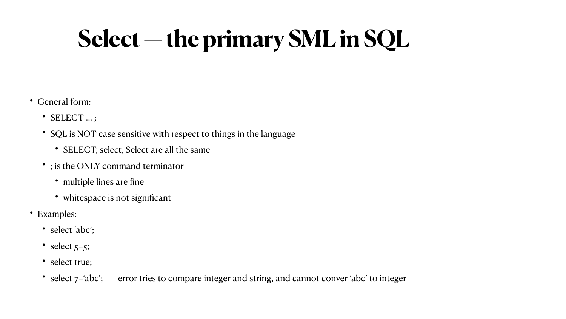### **Select — the primary SML in SQL**

- General form:
	- SELECT … ;
	- SQL is NOT case sensitive with respect to things in the language
		- SELECT, select, Select are all the same
	- ; is the ONLY command terminator
		- multiple lines are fine
		- whitespace is not significant
- Examples:
	- select 'abc';
	- select  $5=5$ ;
	- select true;
	- select  $7=abc$ ; error tries to compare integer and string, and cannot conver 'abc' to integer